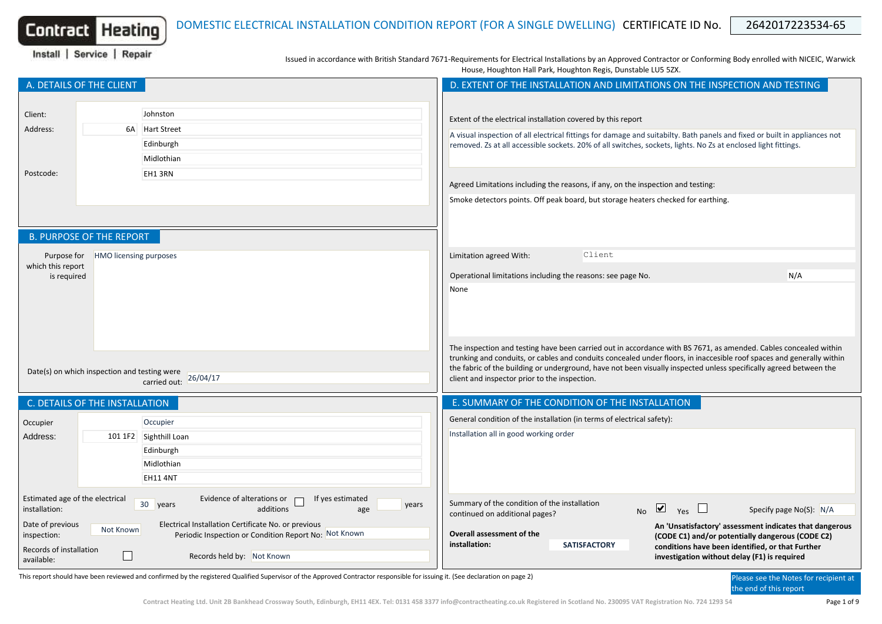

Install | Service | Repair

Issued in accordance with British Standard 7671-Requirements for Electrical Installations by an Approved Contractor or Conforming Body enrolled with NICEIC, Warwick House, Houghton Hall Park, Houghton Regis, Dunstable LU5 5ZX.

|                                                                                                                              | A. DETAILS OF THE CLIENT                                         |                                                                                                                                                                                                                                       | D. EXTENT OF THE INSTALLATION AND LIMITATIONS ON THE INSPECTION AND TESTING                                                                                                                                                                                                                                                                                                                                                                                 |
|------------------------------------------------------------------------------------------------------------------------------|------------------------------------------------------------------|---------------------------------------------------------------------------------------------------------------------------------------------------------------------------------------------------------------------------------------|-------------------------------------------------------------------------------------------------------------------------------------------------------------------------------------------------------------------------------------------------------------------------------------------------------------------------------------------------------------------------------------------------------------------------------------------------------------|
| Client:<br>Address:                                                                                                          |                                                                  | Johnston<br>6A Hart Street<br>Edinburgh<br>Midlothian                                                                                                                                                                                 | Extent of the electrical installation covered by this report<br>A visual inspection of all electrical fittings for damage and suitabilty. Bath panels and fixed or built in appliances not<br>removed. Zs at all accessible sockets. 20% of all switches, sockets, lights. No Zs at enclosed light fittings.                                                                                                                                                |
| Postcode:                                                                                                                    |                                                                  | EH1 3RN                                                                                                                                                                                                                               | Agreed Limitations including the reasons, if any, on the inspection and testing:                                                                                                                                                                                                                                                                                                                                                                            |
|                                                                                                                              |                                                                  |                                                                                                                                                                                                                                       | Smoke detectors points. Off peak board, but storage heaters checked for earthing.                                                                                                                                                                                                                                                                                                                                                                           |
| Purpose for                                                                                                                  | <b>B. PURPOSE OF THE REPORT</b><br><b>HMO</b> licensing purposes |                                                                                                                                                                                                                                       | Client<br>Limitation agreed With:                                                                                                                                                                                                                                                                                                                                                                                                                           |
| which this report<br>is required                                                                                             |                                                                  |                                                                                                                                                                                                                                       | N/A<br>Operational limitations including the reasons: see page No.                                                                                                                                                                                                                                                                                                                                                                                          |
|                                                                                                                              | Date(s) on which inspection and testing were                     | carried out: $26/04/17$                                                                                                                                                                                                               | None<br>The inspection and testing have been carried out in accordance with BS 7671, as amended. Cables concealed within<br>trunking and conduits, or cables and conduits concealed under floors, in inaccesible roof spaces and generally within<br>the fabric of the building or underground, have not been visually inspected unless specifically agreed between the<br>client and inspector prior to the inspection.                                    |
|                                                                                                                              | C. DETAILS OF THE INSTALLATION                                   |                                                                                                                                                                                                                                       | E. SUMMARY OF THE CONDITION OF THE INSTALLATION                                                                                                                                                                                                                                                                                                                                                                                                             |
| Occupier                                                                                                                     |                                                                  | Occupier                                                                                                                                                                                                                              | General condition of the installation (in terms of electrical safety):                                                                                                                                                                                                                                                                                                                                                                                      |
| Address:                                                                                                                     |                                                                  | 101 1F2 Sighthill Loan<br>Edinburgh<br>Midlothian<br><b>EH11 4NT</b>                                                                                                                                                                  | Installation all in good working order                                                                                                                                                                                                                                                                                                                                                                                                                      |
| Estimated age of the electrical<br>installation:<br>Date of previous<br>inspection:<br>Records of installation<br>available: | Not Known<br>$\Box$                                              | Evidence of alterations or<br>If yes estimated<br>30 years<br>years<br>additions<br>age<br>Electrical Installation Certificate No. or previous<br>Periodic Inspection or Condition Report No: Not Known<br>Records held by: Not Known | Summary of the condition of the installation<br>$N_{\rm O}$ $\blacksquare$ $Y_{\rm es}$ $\blacksquare$<br>Specify page No(S): N/A<br>continued on additional pages?<br>An 'Unsatisfactory' assessment indicates that dangerous<br>Overall assessment of the<br>(CODE C1) and/or potentially dangerous (CODE C2)<br>installation:<br><b>SATISFACTORY</b><br>conditions have been identified, or that Further<br>investigation without delay (F1) is required |

This report should have been reviewed and confirmed by the registered Qualified Supervisor of the Approved Contractor responsible for issuing it. (See declaration on page 2) Please see the Notes for recipient at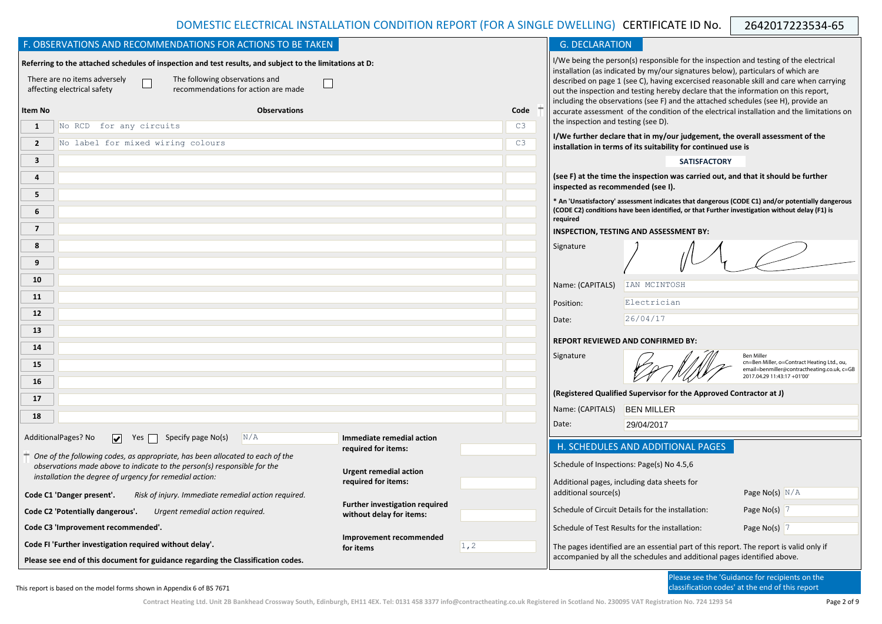| F. OBSERVATIONS AND RECOMMENDATIONS FOR ACTIONS TO BE TAKEN                                                                                                                                                                                      |                                                                                                                                                                                                                                                                                                                                                                                                                                                |             |                                                                                            | <b>G. DECLARATION</b>                                                                                                                                             |                                                                                                                                                                                                    |                                                                                                                                                |  |  |  |  |
|--------------------------------------------------------------------------------------------------------------------------------------------------------------------------------------------------------------------------------------------------|------------------------------------------------------------------------------------------------------------------------------------------------------------------------------------------------------------------------------------------------------------------------------------------------------------------------------------------------------------------------------------------------------------------------------------------------|-------------|--------------------------------------------------------------------------------------------|-------------------------------------------------------------------------------------------------------------------------------------------------------------------|----------------------------------------------------------------------------------------------------------------------------------------------------------------------------------------------------|------------------------------------------------------------------------------------------------------------------------------------------------|--|--|--|--|
| Referring to the attached schedules of inspection and test results, and subject to the limitations at D:<br>The following observations and<br>There are no items adversely<br>recommendations for action are made<br>affecting electrical safety | I/We being the person(s) responsible for the inspection and testing of the electrical<br>installation (as indicated by my/our signatures below), particulars of which are<br>described on page 1 (see C), having excercised reasonable skill and care when carrying<br>out the inspection and testing hereby declare that the information on this report,<br>including the observations (see F) and the attached schedules (see H), provide an |             |                                                                                            |                                                                                                                                                                   |                                                                                                                                                                                                    |                                                                                                                                                |  |  |  |  |
| Item No<br><b>Observations</b>                                                                                                                                                                                                                   | Code                                                                                                                                                                                                                                                                                                                                                                                                                                           |             | accurate assessment of the condition of the electrical installation and the limitations on |                                                                                                                                                                   |                                                                                                                                                                                                    |                                                                                                                                                |  |  |  |  |
| No RCD for any circuits<br><sup>1</sup>                                                                                                                                                                                                          |                                                                                                                                                                                                                                                                                                                                                                                                                                                | C3          |                                                                                            | the inspection and testing (see D).                                                                                                                               | I/We further declare that in my/our judgement, the overall assessment of the                                                                                                                       |                                                                                                                                                |  |  |  |  |
| No label for mixed wiring colours<br>$\overline{2}$                                                                                                                                                                                              |                                                                                                                                                                                                                                                                                                                                                                                                                                                | C3          |                                                                                            |                                                                                                                                                                   | installation in terms of its suitability for continued use is                                                                                                                                      |                                                                                                                                                |  |  |  |  |
| 3                                                                                                                                                                                                                                                |                                                                                                                                                                                                                                                                                                                                                                                                                                                |             |                                                                                            |                                                                                                                                                                   | <b>SATISFACTORY</b>                                                                                                                                                                                |                                                                                                                                                |  |  |  |  |
| 4                                                                                                                                                                                                                                                |                                                                                                                                                                                                                                                                                                                                                                                                                                                |             |                                                                                            | inspected as recommended (see I).                                                                                                                                 | (see F) at the time the inspection was carried out, and that it should be further                                                                                                                  |                                                                                                                                                |  |  |  |  |
| 5<br>6                                                                                                                                                                                                                                           |                                                                                                                                                                                                                                                                                                                                                                                                                                                |             |                                                                                            |                                                                                                                                                                   | * An 'Unsatisfactory' assessment indicates that dangerous (CODE C1) and/or potentially dangerous<br>(CODE C2) conditions have been identified, or that Further investigation without delay (F1) is |                                                                                                                                                |  |  |  |  |
| $\overline{7}$                                                                                                                                                                                                                                   |                                                                                                                                                                                                                                                                                                                                                                                                                                                |             |                                                                                            | required                                                                                                                                                          | INSPECTION, TESTING AND ASSESSMENT BY:                                                                                                                                                             |                                                                                                                                                |  |  |  |  |
| 8<br>9                                                                                                                                                                                                                                           |                                                                                                                                                                                                                                                                                                                                                                                                                                                |             |                                                                                            | Signature                                                                                                                                                         |                                                                                                                                                                                                    |                                                                                                                                                |  |  |  |  |
|                                                                                                                                                                                                                                                  |                                                                                                                                                                                                                                                                                                                                                                                                                                                |             |                                                                                            |                                                                                                                                                                   |                                                                                                                                                                                                    |                                                                                                                                                |  |  |  |  |
| 10                                                                                                                                                                                                                                               |                                                                                                                                                                                                                                                                                                                                                                                                                                                |             |                                                                                            | Name: (CAPITALS)                                                                                                                                                  | IAN MCINTOSH                                                                                                                                                                                       |                                                                                                                                                |  |  |  |  |
| 11                                                                                                                                                                                                                                               |                                                                                                                                                                                                                                                                                                                                                                                                                                                |             |                                                                                            | Position:                                                                                                                                                         | Electrician                                                                                                                                                                                        |                                                                                                                                                |  |  |  |  |
| 12                                                                                                                                                                                                                                               |                                                                                                                                                                                                                                                                                                                                                                                                                                                |             |                                                                                            | Date:                                                                                                                                                             | 26/04/17                                                                                                                                                                                           |                                                                                                                                                |  |  |  |  |
| 13                                                                                                                                                                                                                                               |                                                                                                                                                                                                                                                                                                                                                                                                                                                |             |                                                                                            | <b>REPORT REVIEWED AND CONFIRMED BY:</b>                                                                                                                          |                                                                                                                                                                                                    |                                                                                                                                                |  |  |  |  |
| 14<br>15                                                                                                                                                                                                                                         |                                                                                                                                                                                                                                                                                                                                                                                                                                                |             |                                                                                            | Signature                                                                                                                                                         |                                                                                                                                                                                                    | <b>Ben Miller</b><br>cn=Ben Miller, o=Contract Heating Ltd., ou,<br>email=benmiller@contractheating.co.uk, c=GB<br>2017.04.29 11:43:17 +01'00' |  |  |  |  |
| 16                                                                                                                                                                                                                                               |                                                                                                                                                                                                                                                                                                                                                                                                                                                |             |                                                                                            |                                                                                                                                                                   | (Registered Qualified Supervisor for the Approved Contractor at J)                                                                                                                                 |                                                                                                                                                |  |  |  |  |
| 17                                                                                                                                                                                                                                               |                                                                                                                                                                                                                                                                                                                                                                                                                                                |             |                                                                                            | Name: (CAPITALS)                                                                                                                                                  | <b>BEN MILLER</b>                                                                                                                                                                                  |                                                                                                                                                |  |  |  |  |
| 18                                                                                                                                                                                                                                               |                                                                                                                                                                                                                                                                                                                                                                                                                                                |             |                                                                                            | Date:                                                                                                                                                             | 29/04/2017                                                                                                                                                                                         |                                                                                                                                                |  |  |  |  |
| AdditionalPages? No<br>$\triangledown$ Yes Specify page No(s)<br>N/A<br>One of the following codes, as appropriate, has been allocated to each of the                                                                                            | Immediate remedial action<br>required for items:                                                                                                                                                                                                                                                                                                                                                                                               |             |                                                                                            |                                                                                                                                                                   | H. SCHEDULES AND ADDITIONAL PAGES                                                                                                                                                                  |                                                                                                                                                |  |  |  |  |
| observations made above to indicate to the person(s) responsible for the                                                                                                                                                                         | <b>Urgent remedial action</b>                                                                                                                                                                                                                                                                                                                                                                                                                  |             |                                                                                            | Schedule of Inspections: Page(s) No 4.5,6                                                                                                                         |                                                                                                                                                                                                    |                                                                                                                                                |  |  |  |  |
| installation the degree of urgency for remedial action:                                                                                                                                                                                          | required for items:                                                                                                                                                                                                                                                                                                                                                                                                                            |             |                                                                                            |                                                                                                                                                                   | Additional pages, including data sheets for                                                                                                                                                        |                                                                                                                                                |  |  |  |  |
| Code C1 'Danger present'.<br>Risk of injury. Immediate remedial action required.                                                                                                                                                                 | <b>Further investigation required</b>                                                                                                                                                                                                                                                                                                                                                                                                          |             |                                                                                            | additional source(s)                                                                                                                                              |                                                                                                                                                                                                    | Page No(s) $N/A$                                                                                                                               |  |  |  |  |
| Code C2 'Potentially dangerous'.<br>Urgent remedial action required.                                                                                                                                                                             | without delay for items:                                                                                                                                                                                                                                                                                                                                                                                                                       |             |                                                                                            |                                                                                                                                                                   | Schedule of Circuit Details for the installation:                                                                                                                                                  | Page No(s) $\sqrt{7}$                                                                                                                          |  |  |  |  |
| Code C3 'Improvement recommended'.                                                                                                                                                                                                               | Improvement recommended                                                                                                                                                                                                                                                                                                                                                                                                                        |             |                                                                                            |                                                                                                                                                                   | Schedule of Test Results for the installation:                                                                                                                                                     | Page No(s) $7$                                                                                                                                 |  |  |  |  |
| Code FI 'Further investigation required without delay'.                                                                                                                                                                                          | for items                                                                                                                                                                                                                                                                                                                                                                                                                                      | $\vert$ 1,2 |                                                                                            | The pages identified are an essential part of this report. The report is valid only if<br>accompanied by all the schedules and additional pages identified above. |                                                                                                                                                                                                    |                                                                                                                                                |  |  |  |  |
| Please see end of this document for guidance regarding the Classification codes.                                                                                                                                                                 |                                                                                                                                                                                                                                                                                                                                                                                                                                                |             |                                                                                            |                                                                                                                                                                   |                                                                                                                                                                                                    |                                                                                                                                                |  |  |  |  |

Please see the 'Guidance for recipients on the classification codes' at the end of this report

This report is based on the model forms shown in Appendix 6 of BS 7671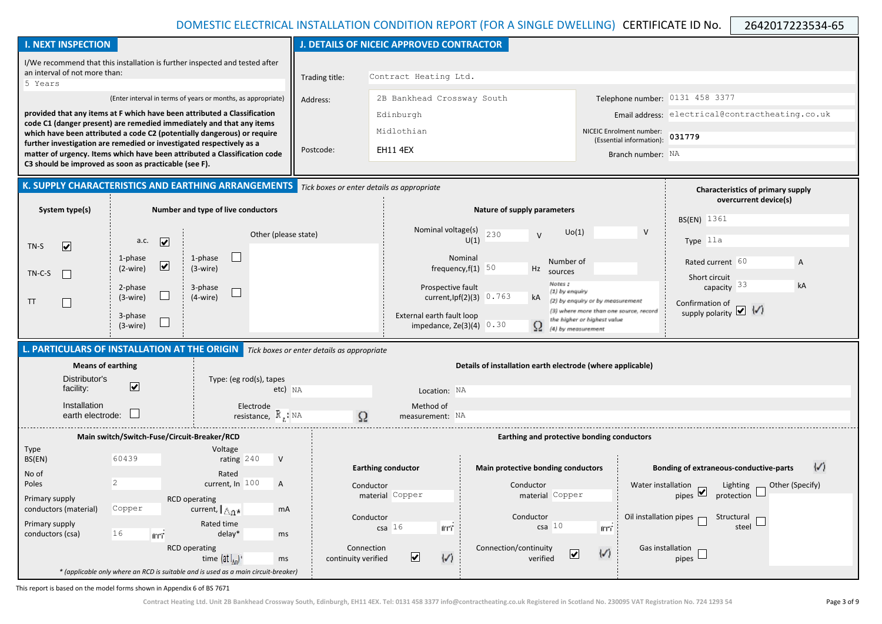**J. DETAILS OF NICEIC APPROVED CONTRACTOR I. NEXT INSPECTION** I/We recommend that this installation is further inspected and tested after an interval of not more than: Trading title: Contract Heating Ltd. 5 Years (Enter interval in terms of years or months, as appropriate) Telephone number: 0131 458 3377 Address: 2B Bankhead Crossway South **provided that any items at F which have been attributed a Classification**  Edinburgh Email address: electrical@contractheating.co.uk **code C1 (danger present) are remedied immediately and that any items**  Midlothian NICEIC Enrolment number: **which have been attributed a code C2 (potentially dangerous) or require**  (Essential information): **031779 further investigation are remedied or investigated respectively as a**  Postcode: EH11 4EX **matter of urgency. Items which have been attributed a Classification code**  Branch number: NA **C3 should be improved as soon as practicable (see F). K. SUPPLY CHARACTERISTICS AND EARTHING ARRANGEMENTS** *Tick boxes or enter details as appropriate* **Characteristics of primary supply overcurrent device(s) System type(s) Number and type of live conductors Nature of supply parameters** BS(EN) 1361 Nominal voltage(s)  $U<sub>0</sub>(1)$ V 230 Other (please state) V  $U(1)$ a.c.  $\overline{\mathbf{v}}$ Type lla TN-S  $\overline{\mathbf{v}}$  $\Box$ 1-phase 1-phase Nominal Number of Rated current 60 A  $\overline{\mathbf{v}}$ (2-wire) (3-wire) frequency,  $f(1)$  50 Hz sources TN-C-S  $\Box$ Short circuit Notes + capacity 33 kA 2-phase 3-phase Prospective fault (1) by enquiry  $\Box$ current,Ipf(2)(3) 0.763 (3-wire) (4-wire) kA TT  $\Box$ (2) by enquiry or by measurement Confirmation of supply polarity  $\boxed{\checkmark}$   $\boxed{\checkmark}$ (3) where more than one source, record 3-phase External earth fault loop the higher or highest value  $\Box$ impedance,  $Ze(3)(4)$  0.30 Ω (3-wire) (4) by measurement **L. PARTICULARS OF INSTALLATION AT THE ORIGIN** *Tick boxes or enter details as appropriate* **Means of earthing Details of installation earth electrode (where applicable)** Distributor's Type: (eg rod(s), tapes  $\overline{\mathbf{v}}$ facility: etc) NA Location: NA Installation Electrode Method of  $\mathbb{R}^n$ resistance,  $R : NA$ earth electrode:  $\Omega$ measurement: NA **Main switch/Switch-Fuse/Circuit-Breaker/RCD Earthing and protective bonding conductors** Type Voltage BS(EN) 60439 rating 240 V  $\sqrt{ }$ **Earthing conductor Main protective bonding conductors Bonding of extraneous-conductive-parts** No of Rated Poles 2 current, In 100 A Water installation Conductor Conductor Lighting Other (Specify) pipes  $\boxed{\blacktriangledown}$ protection material Copper material Copper Primary supply RCD operating conductors (material) Copper current,  $\lambda_{n*}$ mA Conductor Conductor Oil installation pipes **Structural** Primary supply Rated time csa 16  $csa 10$ steel mri mri conductors (csa) 16 lmri delay\* ms RCD operating Connection Connection/continuity Gas installation  $\overline{\mathbf{v}}$  $\sqrt{ }$  $\overline{\mathbf{v}}$ continuity verified  $\langle \mathcal{L} \rangle$ verified pipes time lat | ... | " ms *\* (applicable only where an RCD is suitable and is used as a main circuit-breaker)*

This report is based on the model forms shown in Appendix 6 of BS 7671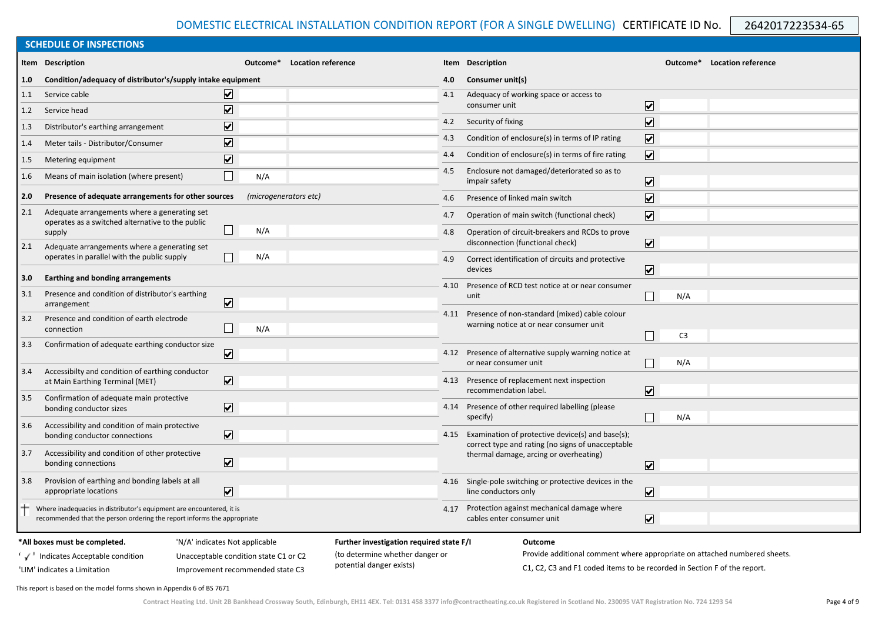|     | <b>SCHEDULE OF INSPECTIONS</b>                                                                                                                  |                                        |                                 |                                          |                                                                                               |                                 |                             |  |  |  |  |  |  |
|-----|-------------------------------------------------------------------------------------------------------------------------------------------------|----------------------------------------|---------------------------------|------------------------------------------|-----------------------------------------------------------------------------------------------|---------------------------------|-----------------------------|--|--|--|--|--|--|
|     | Item Description                                                                                                                                | Outcome*                               | <b>Location reference</b>       |                                          | Item Description                                                                              |                                 | Outcome* Location reference |  |  |  |  |  |  |
| 1.0 | Condition/adequacy of distributor's/supply intake equipment                                                                                     |                                        |                                 | 4.0                                      | Consumer unit(s)                                                                              |                                 |                             |  |  |  |  |  |  |
| 1.1 | Service cable                                                                                                                                   | $\left \boldsymbol{\mathsf{v}}\right $ |                                 | 4.1                                      | Adequacy of working space or access to                                                        |                                 |                             |  |  |  |  |  |  |
| 1.2 | Service head                                                                                                                                    | $\overline{\mathbf{v}}$                |                                 |                                          | consumer unit                                                                                 | $\overline{\mathbf{v}}$         |                             |  |  |  |  |  |  |
| 1.3 | Distributor's earthing arrangement                                                                                                              | $\boxed{\blacktriangledown}$           |                                 | 4.2                                      | Security of fixing                                                                            | $\overline{\mathbf{v}}$         |                             |  |  |  |  |  |  |
| 1.4 | Meter tails - Distributor/Consumer                                                                                                              | $\boxed{\blacktriangledown}$           |                                 | 4.3                                      | Condition of enclosure(s) in terms of IP rating                                               | $\blacktriangledown$            |                             |  |  |  |  |  |  |
| 1.5 | Metering equipment                                                                                                                              | $\boxed{\blacktriangledown}$           |                                 | 4.4                                      | Condition of enclosure(s) in terms of fire rating                                             | $\overline{\mathbf{v}}$         |                             |  |  |  |  |  |  |
| 1.6 | Means of main isolation (where present)                                                                                                         | $\Box$<br>N/A                          |                                 | 4.5                                      | Enclosure not damaged/deteriorated so as to<br>impair safety                                  | $\blacktriangledown$            |                             |  |  |  |  |  |  |
| 2.0 | Presence of adequate arrangements for other sources                                                                                             | (microgenerators etc)                  |                                 | 4.6                                      | Presence of linked main switch                                                                | $\blacktriangledown$            |                             |  |  |  |  |  |  |
| 2.1 | Adequate arrangements where a generating set<br>operates as a switched alternative to the public                                                |                                        |                                 | 4.7                                      | Operation of main switch (functional check)                                                   | $\blacktriangledown$            |                             |  |  |  |  |  |  |
|     | supply                                                                                                                                          | N/A                                    |                                 | 4.8                                      | Operation of circuit-breakers and RCDs to prove                                               |                                 |                             |  |  |  |  |  |  |
| 2.1 | Adequate arrangements where a generating set<br>operates in parallel with the public supply                                                     | N/A                                    |                                 |                                          | disconnection (functional check)                                                              | $\blacktriangledown$            |                             |  |  |  |  |  |  |
| 3.0 | <b>Earthing and bonding arrangements</b>                                                                                                        |                                        |                                 | 4.9                                      | Correct identification of circuits and protective<br>devices                                  | $\blacktriangledown$            |                             |  |  |  |  |  |  |
|     |                                                                                                                                                 |                                        |                                 |                                          | 4.10 Presence of RCD test notice at or near consumer                                          |                                 |                             |  |  |  |  |  |  |
| 3.1 | Presence and condition of distributor's earthing<br>arrangement                                                                                 | $\overline{\mathbf{v}}$                |                                 |                                          | unit                                                                                          | N/A<br>$\mathbf{r}$             |                             |  |  |  |  |  |  |
| 3.2 | Presence and condition of earth electrode<br>connection                                                                                         | N/A                                    |                                 |                                          | 4.11 Presence of non-standard (mixed) cable colour<br>warning notice at or near consumer unit |                                 |                             |  |  |  |  |  |  |
| 3.3 | Confirmation of adequate earthing conductor size                                                                                                |                                        |                                 |                                          |                                                                                               | C <sub>3</sub><br>$\mathcal{L}$ |                             |  |  |  |  |  |  |
|     |                                                                                                                                                 | ☑                                      |                                 |                                          | 4.12 Presence of alternative supply warning notice at                                         |                                 |                             |  |  |  |  |  |  |
| 3.4 | Accessibilty and condition of earthing conductor                                                                                                |                                        |                                 |                                          | or near consumer unit                                                                         | N/A                             |                             |  |  |  |  |  |  |
|     | at Main Earthing Terminal (MET)                                                                                                                 | $\overline{\mathbf{v}}$                |                                 |                                          | 4.13 Presence of replacement next inspection<br>recommendation label.                         | $\blacktriangledown$            |                             |  |  |  |  |  |  |
| 3.5 | Confirmation of adequate main protective                                                                                                        | $\boxed{\blacktriangledown}$           |                                 |                                          | 4.14 Presence of other required labelling (please                                             |                                 |                             |  |  |  |  |  |  |
|     | bonding conductor sizes                                                                                                                         |                                        |                                 |                                          | specify)                                                                                      | N/A<br>$\blacksquare$           |                             |  |  |  |  |  |  |
| 3.6 | Accessibility and condition of main protective<br>bonding conductor connections                                                                 | $\overline{\mathbf{v}}$                |                                 |                                          | 4.15 Examination of protective device(s) and base(s);                                         |                                 |                             |  |  |  |  |  |  |
| 3.7 | Accessibility and condition of other protective                                                                                                 |                                        |                                 |                                          | correct type and rating (no signs of unacceptable<br>thermal damage, arcing or overheating)   |                                 |                             |  |  |  |  |  |  |
|     | bonding connections                                                                                                                             | $\overline{\mathbf{v}}$                |                                 |                                          |                                                                                               | $\blacktriangledown$            |                             |  |  |  |  |  |  |
| 3.8 | Provision of earthing and bonding labels at all                                                                                                 |                                        |                                 |                                          | 4.16 Single-pole switching or protective devices in the                                       |                                 |                             |  |  |  |  |  |  |
|     | appropriate locations                                                                                                                           | $\overline{\mathbf{v}}$                |                                 |                                          | line conductors only                                                                          | $\blacktriangledown$            |                             |  |  |  |  |  |  |
|     | Where inadequacies in distributor's equipment are encountered, it is<br>recommended that the person ordering the report informs the appropriate |                                        |                                 |                                          | 4.17 Protection against mechanical damage where<br>cables enter consumer unit                 | $\blacktriangledown$            |                             |  |  |  |  |  |  |
|     | *All boxes must be completed.                                                                                                                   | 'N/A' indicates Not applicable         |                                 | Further investigation required state F/I | <b>Outcome</b>                                                                                |                                 |                             |  |  |  |  |  |  |
|     | $\checkmark$ 'Indicates Acceptable condition                                                                                                    | Unacceptable condition state C1 or C2  | (to determine whether danger or |                                          | Provide additional comment where appropriate on attached numbered sheets.                     |                                 |                             |  |  |  |  |  |  |
|     | 'LIM' indicates a Limitation                                                                                                                    | Improvement recommended state C3       | potential danger exists)        |                                          | C1, C2, C3 and F1 coded items to be recorded in Section F of the report.                      |                                 |                             |  |  |  |  |  |  |

This report is based on the model forms shown in Appendix 6 of BS 7671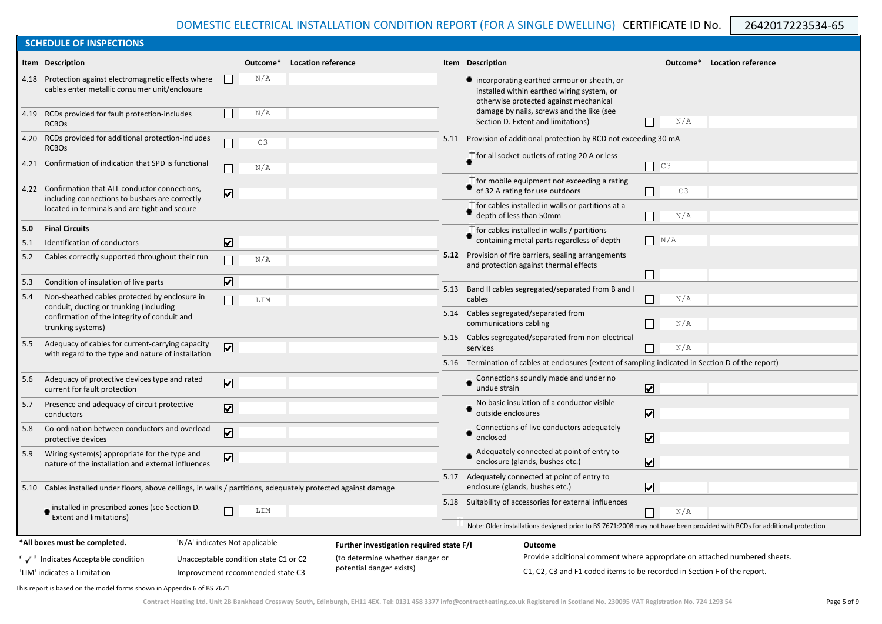4.18 Protection against electromagnetic effects where  $\Box$   $\mathbb{N}/\mathbb{A}$ Provision of additional protection by RCD not exceeding 30 mA  $\bullet$  incorporating earthed armour or sheath, or installed within earthed wiring system, or otherwise protected against mechanical damage by nails, screws and the like (see Section D. Extent and limitations)  $N/A$ **Item Description Outcome\* Location reference Item Description Outcome\* Location reference** for all socket-outlets of rating 20 A or less 5.11

|     |                                                                                                                |                                       |                                          | otherwise protected against mechanical                                                                                  |                          |  |  |  |  |  |  |
|-----|----------------------------------------------------------------------------------------------------------------|---------------------------------------|------------------------------------------|-------------------------------------------------------------------------------------------------------------------------|--------------------------|--|--|--|--|--|--|
|     | 4.19 RCDs provided for fault protection-includes                                                               | N/A                                   |                                          | damage by nails, screws and the like (see                                                                               |                          |  |  |  |  |  |  |
|     | <b>RCBO<sub>S</sub></b>                                                                                        |                                       |                                          | Section D. Extent and limitations)                                                                                      | N/A                      |  |  |  |  |  |  |
|     | 4.20 RCDs provided for additional protection-includes<br><b>RCBOs</b>                                          | C3<br>∟                               |                                          | 5.11 Provision of additional protection by RCD not exceeding 30 mA                                                      |                          |  |  |  |  |  |  |
|     | 4.21 Confirmation of indication that SPD is functional                                                         | L<br>N/A                              |                                          | $\Box$ for all socket-outlets of rating 20 A or less                                                                    | C <sub>3</sub><br>$\Box$ |  |  |  |  |  |  |
|     | 4.22 Confirmation that ALL conductor connections,                                                              | $\boxed{\blacktriangledown}$          |                                          | for mobile equipment not exceeding a rating<br>of 32 A rating for use outdoors                                          | C3                       |  |  |  |  |  |  |
|     | including connections to busbars are correctly<br>located in terminals and are tight and secure                |                                       |                                          | $\Gamma$ for cables installed in walls or partitions at a<br>depth of less than 50mm                                    | N/A                      |  |  |  |  |  |  |
| 5.0 | <b>Final Circuits</b>                                                                                          |                                       |                                          | $\top$ for cables installed in walls / partitions                                                                       |                          |  |  |  |  |  |  |
| 5.1 | Identification of conductors                                                                                   | $\overline{\mathbf{v}}$               |                                          | containing metal parts regardless of depth                                                                              | $\vert$ $\vert$ N/A      |  |  |  |  |  |  |
| 5.2 | Cables correctly supported throughout their run                                                                | $\Box$<br>N/A                         |                                          | <b>5.12</b> Provision of fire barriers, sealing arrangements<br>and protection against thermal effects                  | $\mathcal{L}$            |  |  |  |  |  |  |
| 5.3 | Condition of insulation of live parts                                                                          | $\overline{\mathbf{v}}$               |                                          |                                                                                                                         |                          |  |  |  |  |  |  |
| 5.4 | Non-sheathed cables protected by enclosure in                                                                  | $\Box$<br>LIM                         |                                          | 5.13 Band II cables segregated/separated from B and I<br>cables                                                         | N/A                      |  |  |  |  |  |  |
|     | conduit, ducting or trunking (including<br>confirmation of the integrity of conduit and                        |                                       |                                          | 5.14 Cables segregated/separated from                                                                                   |                          |  |  |  |  |  |  |
|     | trunking systems)                                                                                              |                                       |                                          | communications cabling                                                                                                  | N/A                      |  |  |  |  |  |  |
| 5.5 | Adequacy of cables for current-carrying capacity<br>with regard to the type and nature of installation         | $\overline{\mathbf{v}}$               |                                          | 5.15 Cables segregated/separated from non-electrical<br>services                                                        | N/A                      |  |  |  |  |  |  |
|     |                                                                                                                |                                       |                                          | 5.16 Termination of cables at enclosures (extent of sampling indicated in Section D of the report)                      |                          |  |  |  |  |  |  |
| 5.6 | Adequacy of protective devices type and rated<br>current for fault protection                                  | $\overline{\mathbf{v}}$               |                                          | Connections soundly made and under no<br>undue strain                                                                   | $\overline{\mathbf{v}}$  |  |  |  |  |  |  |
| 5.7 | Presence and adequacy of circuit protective<br>conductors                                                      | $\overline{\blacktriangledown}$       |                                          | No basic insulation of a conductor visible<br>outside enclosures                                                        | $\blacktriangledown$     |  |  |  |  |  |  |
| 5.8 | Co-ordination between conductors and overload<br>protective devices                                            | $\overline{\mathbf{v}}$               |                                          | Connections of live conductors adequately<br>enclosed                                                                   | $\overline{\mathbf{v}}$  |  |  |  |  |  |  |
| 5.9 | Wiring system(s) appropriate for the type and<br>nature of the installation and external influences            | $\boxed{\blacktriangledown}$          |                                          | Adequately connected at point of entry to<br>enclosure (glands, bushes etc.)                                            | $\overline{\mathbf{v}}$  |  |  |  |  |  |  |
|     | 5.10 Cables installed under floors, above ceilings, in walls / partitions, adequately protected against damage |                                       |                                          | 5.17 Adequately connected at point of entry to<br>enclosure (glands, bushes etc.)                                       | $\overline{\mathbf{v}}$  |  |  |  |  |  |  |
|     |                                                                                                                |                                       |                                          | 5.18 Suitability of accessories for external influences                                                                 |                          |  |  |  |  |  |  |
|     | installed in prescribed zones (see Section D.<br><b>Extent and limitations)</b>                                | LIM<br>$\mathbf{L}$                   |                                          |                                                                                                                         | N/A                      |  |  |  |  |  |  |
|     |                                                                                                                |                                       |                                          | Note: Older installations designed prior to BS 7671:2008 may not have been provided with RCDs for additional protection |                          |  |  |  |  |  |  |
|     | *All boxes must be completed.                                                                                  | 'N/A' indicates Not applicable        | Further investigation required state F/I | Outcome                                                                                                                 |                          |  |  |  |  |  |  |
|     | $\sqrt{\phantom{a}}$ Indicates Acceptable condition                                                            | Unacceptable condition state C1 or C2 | (to determine whether danger or          | Provide additional comment where appropriate on attached numbered sheets.                                               |                          |  |  |  |  |  |  |
|     | 'LIM' indicates a Limitation                                                                                   | Improvement recommended state C3      | potential danger exists)                 | C1, C2, C3 and F1 coded items to be recorded in Section F of the report.                                                |                          |  |  |  |  |  |  |
|     |                                                                                                                |                                       |                                          |                                                                                                                         |                          |  |  |  |  |  |  |

This report is based on the model forms shown in Appendix 6 of BS 7671

 **SCHEDULE OF INSPECTIONS**

cables enter metallic consumer unit/enclosure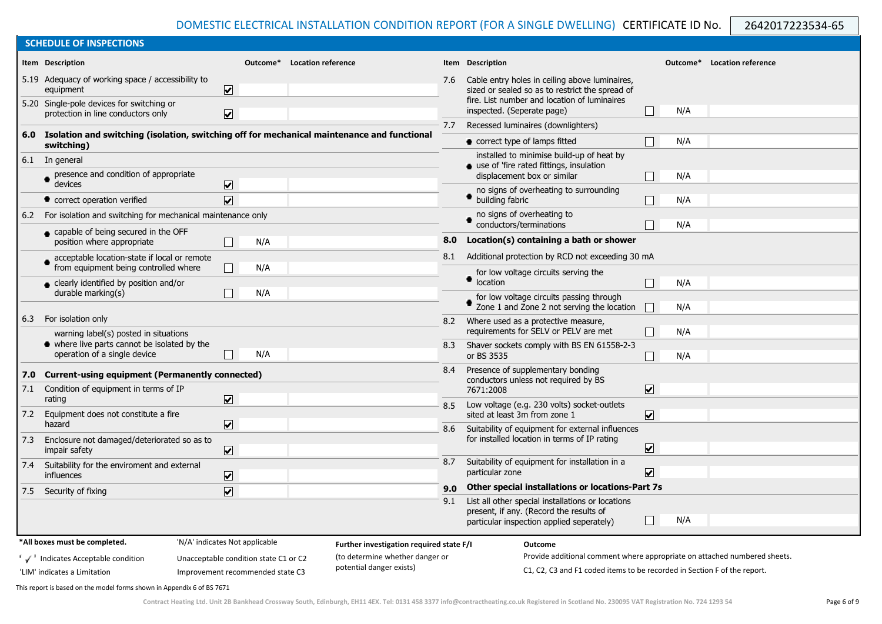|                                             | <b>SUMEDULE OF INSPECTIONS</b>                                                                                |                                       |     |                                          |     |                                                                                                                                           |                                                                           |     |                             |  |  |  |  |
|---------------------------------------------|---------------------------------------------------------------------------------------------------------------|---------------------------------------|-----|------------------------------------------|-----|-------------------------------------------------------------------------------------------------------------------------------------------|---------------------------------------------------------------------------|-----|-----------------------------|--|--|--|--|
|                                             | Item Description                                                                                              |                                       |     | Outcome* Location reference              |     | Item Description                                                                                                                          |                                                                           |     | Outcome* Location reference |  |  |  |  |
|                                             | 5.19 Adequacy of working space / accessibility to<br>equipment                                                | $\overline{\mathbf{v}}$               |     |                                          | 7.6 | Cable entry holes in ceiling above luminaires,<br>sized or sealed so as to restrict the spread of                                         |                                                                           |     |                             |  |  |  |  |
|                                             | 5.20 Single-pole devices for switching or<br>protection in line conductors only                               | $\boxed{\blacktriangledown}$          |     |                                          |     | fire. List number and location of luminaires<br>inspected. (Seperate page)                                                                |                                                                           | N/A |                             |  |  |  |  |
|                                             |                                                                                                               |                                       |     |                                          | 7.7 | Recessed luminaires (downlighters)                                                                                                        |                                                                           |     |                             |  |  |  |  |
|                                             | 6.0 Isolation and switching (isolation, switching off for mechanical maintenance and functional<br>switching) |                                       |     |                                          |     | correct type of lamps fitted                                                                                                              |                                                                           | N/A |                             |  |  |  |  |
|                                             | 6.1 In general                                                                                                |                                       |     |                                          |     | installed to minimise build-up of heat by                                                                                                 |                                                                           |     |                             |  |  |  |  |
|                                             | presence and condition of appropriate                                                                         |                                       |     |                                          |     | ● use of 'fire rated fittings, insulation<br>displacement box or similar                                                                  |                                                                           | N/A |                             |  |  |  |  |
|                                             | devices                                                                                                       | $\boxed{\blacktriangledown}$          |     |                                          |     | no signs of overheating to surrounding                                                                                                    |                                                                           |     |                             |  |  |  |  |
|                                             | correct operation verified                                                                                    | $\overline{\mathbf{v}}$               |     |                                          |     | building fabric                                                                                                                           | $\blacksquare$                                                            | N/A |                             |  |  |  |  |
|                                             | 6.2 For isolation and switching for mechanical maintenance only                                               |                                       |     |                                          |     | no signs of overheating to<br>conductors/terminations                                                                                     |                                                                           | N/A |                             |  |  |  |  |
|                                             | capable of being secured in the OFF<br>position where appropriate                                             | $\Box$                                | N/A |                                          |     | 8.0 Location(s) containing a bath or shower                                                                                               |                                                                           |     |                             |  |  |  |  |
|                                             | acceptable location-state if local or remote                                                                  |                                       |     |                                          | 8.1 | Additional protection by RCD not exceeding 30 mA                                                                                          |                                                                           |     |                             |  |  |  |  |
|                                             | from equipment being controlled where                                                                         | $\Box$                                | N/A |                                          |     | for low voltage circuits serving the                                                                                                      |                                                                           |     |                             |  |  |  |  |
|                                             | clearly identified by position and/or<br>durable marking(s)                                                   | $\Box$                                | N/A |                                          |     | location                                                                                                                                  |                                                                           | N/A |                             |  |  |  |  |
|                                             |                                                                                                               |                                       |     |                                          |     | for low voltage circuits passing through<br>Zone 1 and Zone 2 not serving the location                                                    | $\perp$                                                                   | N/A |                             |  |  |  |  |
|                                             | 6.3 For isolation only                                                                                        |                                       |     |                                          | 8.2 | Where used as a protective measure,<br>requirements for SELV or PELV are met                                                              | $\mathsf{L}$                                                              | N/A |                             |  |  |  |  |
|                                             | warning label(s) posted in situations<br>where live parts cannot be isolated by the                           |                                       |     |                                          |     | 8.3 Shaver sockets comply with BS EN 61558-2-3                                                                                            |                                                                           |     |                             |  |  |  |  |
|                                             | operation of a single device                                                                                  | П                                     | N/A |                                          |     | or BS 3535                                                                                                                                |                                                                           | N/A |                             |  |  |  |  |
|                                             | 7.0 Current-using equipment (Permanently connected)                                                           |                                       |     |                                          | 8.4 | Presence of supplementary bonding<br>conductors unless not required by BS                                                                 |                                                                           |     |                             |  |  |  |  |
| 7.1                                         | Condition of equipment in terms of IP                                                                         |                                       |     |                                          |     | 7671:2008                                                                                                                                 | $\overline{\mathbf{v}}$                                                   |     |                             |  |  |  |  |
|                                             | rating                                                                                                        | $\boxed{\blacktriangledown}$          |     |                                          | 8.5 | Low voltage (e.g. 230 volts) socket-outlets                                                                                               |                                                                           |     |                             |  |  |  |  |
| 7.2                                         | Equipment does not constitute a fire<br>hazard                                                                | $\boxed{\blacktriangledown}$          |     |                                          |     | sited at least 3m from zone 1                                                                                                             | $\overline{\mathbf{v}}$                                                   |     |                             |  |  |  |  |
| 7.3                                         | Enclosure not damaged/deteriorated so as to                                                                   |                                       |     |                                          | 8.6 | Suitability of equipment for external influences<br>for installed location in terms of IP rating                                          |                                                                           |     |                             |  |  |  |  |
|                                             | impair safety                                                                                                 | $\overline{\mathbf{v}}$               |     |                                          |     |                                                                                                                                           | $\overline{\mathbf{v}}$                                                   |     |                             |  |  |  |  |
|                                             | 7.4 Suitability for the enviroment and external<br>influences                                                 | $\boxed{\blacktriangledown}$          |     |                                          | 8.7 | Suitability of equipment for installation in a<br>particular zone                                                                         | $\overline{\mathbf{v}}$                                                   |     |                             |  |  |  |  |
|                                             | 7.5 Security of fixing                                                                                        | $\overline{\mathbf{v}}$               |     |                                          |     | 9.0 Other special installations or locations-Part 7s                                                                                      |                                                                           |     |                             |  |  |  |  |
|                                             |                                                                                                               |                                       |     |                                          | 9.1 | List all other special installations or locations<br>present, if any. (Record the results of<br>particular inspection applied seperately) |                                                                           | N/A |                             |  |  |  |  |
|                                             | *All boxes must be completed.                                                                                 | 'N/A' indicates Not applicable        |     | Further investigation required state F/I |     | Outcome                                                                                                                                   |                                                                           |     |                             |  |  |  |  |
| $\checkmark$ Indicates Acceptable condition |                                                                                                               | Unacceptable condition state C1 or C2 |     | (to determine whether danger or          |     |                                                                                                                                           | Provide additional comment where appropriate on attached numbered sheets. |     |                             |  |  |  |  |
|                                             | 'LIM' indicates a Limitation                                                                                  | Improvement recommended state C3      |     | potential danger exists)                 |     | C1, C2, C3 and F1 coded items to be recorded in Section F of the report.                                                                  |                                                                           |     |                             |  |  |  |  |

This report is based on the model forms shown in Appendix 6 of BS 7671

 **SCHEDULE OF INSPECTIONS**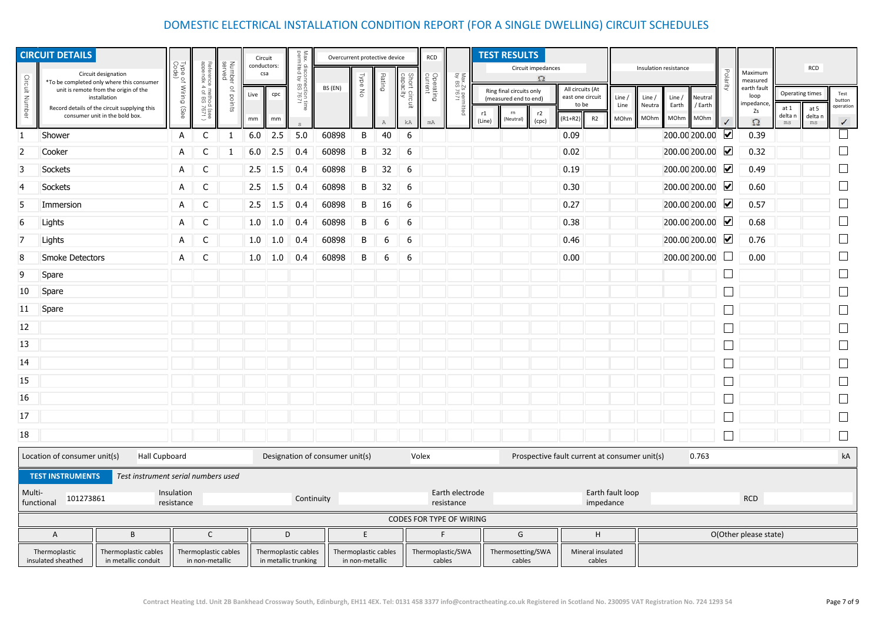# DOMESTIC ELECTRICAL INSTALLATION CONDITION REPORT (FOR A SINGLE DWELLING) CIRCUIT SCHEDULES

| <b>CIRCUIT DETAILS</b><br>Circuit designation                                                                                 |                              | Type of<br>Code)<br>Number<br>served<br>Refere<br>appen                                                                                                                              |                          |                                                                                     | Circuit<br>conductors:<br>csa | 용 용<br>disconne.cu<br>litted by BS                                                      |                           |            | Overcurrent protective device                                           |                               |                                       | RCD                                 | ੲ ≅                   |                                 | <b>TEST RESULTS</b>                                                  | Circuit impedances<br>$\Omega$ |                                                                              | Insulation resistance                         |                                                                                     |             |                 | Polarity     | Maximum                                                         |                       | RCD                                             |                                             |        |
|-------------------------------------------------------------------------------------------------------------------------------|------------------------------|--------------------------------------------------------------------------------------------------------------------------------------------------------------------------------------|--------------------------|-------------------------------------------------------------------------------------|-------------------------------|-----------------------------------------------------------------------------------------|---------------------------|------------|-------------------------------------------------------------------------|-------------------------------|---------------------------------------|-------------------------------------|-----------------------|---------------------------------|----------------------------------------------------------------------|--------------------------------|------------------------------------------------------------------------------|-----------------------------------------------|-------------------------------------------------------------------------------------|-------------|-----------------|--------------|-----------------------------------------------------------------|-----------------------|-------------------------------------------------|---------------------------------------------|--------|
| Circuit Number                                                                                                                |                              | *To be completed only where this consumer<br>unit is remote from the origin of the<br>installation<br>Record details of the circuit supplying this<br>consumer unit in the bold box. | Wiring<br>(See           | ence<br>ndix<br>ie metho<br>: 4 of BS<br>$\vec{o}$<br>points<br>$\frac{1292}{7671}$ |                               | Live<br>mm                                                                              | 1/9/<br>19/1<br>cpc<br>mm | BS (EN)    | <b>Type</b><br>$\stackrel{\textstyle >}{\scriptstyle \textstyle \circ}$ | Rating<br>A                   | capacity<br>$\vec{\Xi}$<br>cuit<br>kA | Operating<br>current<br>Short<br>mA | 3 N<br>$rac{26}{767}$ | r1<br>(Line)                    | Ring final circuits only<br>(measured end to end)<br>rn<br>(Neutral) | r2<br>(cpc)                    | All circuits (At<br>east one circuit<br>to be<br>R <sub>2</sub><br>$(R1+R2)$ | Line /<br>Line<br>MOhm                        | Line /<br>Neutral<br>Line $/$<br>/ Earth<br>Neutra<br>Earth<br>MOhm<br>MOhm<br>MOhm |             |                 | $\checkmark$ | measured<br>earth fault<br>loop<br>impedance,<br>Zs<br>$\Omega$ | at 1<br>delta r<br>ms | <b>Operating times</b><br>at 5<br>delta n<br>ms | Test<br>button<br>operation<br>$\checkmark$ |        |
| $\mathbf{1}$                                                                                                                  | Shower                       |                                                                                                                                                                                      | Α                        | C                                                                                   | $\mathbf{1}$                  | 6.0                                                                                     | 2.5                       | 5.0        | 60898                                                                   | B                             | 40                                    | 6                                   |                       |                                 |                                                                      |                                |                                                                              | 0.09                                          |                                                                                     |             | 200.00 200.00   |              | ⊻                                                               | 0.39                  |                                                 |                                             | ⊔      |
| $\overline{2}$                                                                                                                | Cooker                       |                                                                                                                                                                                      | A                        | C                                                                                   | -1                            | 6.0                                                                                     | 2.5                       | 0.4        | 60898                                                                   | В                             | 32                                    | 6                                   |                       |                                 |                                                                      |                                |                                                                              | 0.02                                          |                                                                                     |             | 200.00 200.00   |              |                                                                 | 0.32                  |                                                 |                                             | $\Box$ |
| 3                                                                                                                             | Sockets                      |                                                                                                                                                                                      | Α                        | C                                                                                   |                               | 2.5                                                                                     | 1.5                       | 0.4        | 60898                                                                   | B                             | 32                                    | 6                                   |                       |                                 |                                                                      |                                |                                                                              | 0.19                                          |                                                                                     |             | 200.00 200.00   |              | ☑                                                               | 0.49                  |                                                 |                                             | $\Box$ |
| 4                                                                                                                             | Sockets                      |                                                                                                                                                                                      | A                        | C                                                                                   |                               | 2.5                                                                                     | 1.5                       | 0.4        | 60898                                                                   | B                             | 32                                    | 6                                   |                       |                                 |                                                                      |                                |                                                                              | 0.30                                          |                                                                                     |             | 200.00 200.00   |              |                                                                 | 0.60                  |                                                 |                                             | $\Box$ |
| 5                                                                                                                             | Immersion                    |                                                                                                                                                                                      | Α                        | C                                                                                   |                               | 2.5                                                                                     | 1.5                       | 0.4        | 60898                                                                   | B                             | 16                                    | 6                                   |                       |                                 |                                                                      |                                |                                                                              | 0.27                                          |                                                                                     |             | 200.00 200.00 ✔ |              |                                                                 | 0.57                  |                                                 |                                             | $\Box$ |
| 6                                                                                                                             | Lights                       |                                                                                                                                                                                      | A                        | C                                                                                   |                               |                                                                                         | $1.0$ 1.0                 | 0.4        | 60898                                                                   | В                             | 6                                     | 6                                   |                       |                                 |                                                                      |                                |                                                                              | 0.38                                          |                                                                                     |             | 200.00 200.00   |              |                                                                 | 0.68                  |                                                 |                                             | $\Box$ |
| 7                                                                                                                             | Lights                       |                                                                                                                                                                                      | Α                        | C                                                                                   |                               | 1.0                                                                                     | 1.0                       | 0.4        | 60898                                                                   | В                             | 6                                     | 6                                   |                       |                                 |                                                                      |                                |                                                                              | 0.46                                          |                                                                                     |             | 200.00 200.00 Ⅴ |              |                                                                 | 0.76                  |                                                 |                                             | $\Box$ |
| 8                                                                                                                             | <b>Smoke Detectors</b>       |                                                                                                                                                                                      | A                        | C                                                                                   |                               |                                                                                         | $1.0$ 1.0                 | 0.4        | 60898                                                                   | B                             | 6                                     | 6                                   |                       |                                 |                                                                      |                                |                                                                              | 0.00                                          |                                                                                     |             | 200.00 200.00   |              |                                                                 | 0.00                  |                                                 |                                             | $\Box$ |
| 9                                                                                                                             | Spare                        |                                                                                                                                                                                      |                          |                                                                                     |                               |                                                                                         |                           |            |                                                                         |                               |                                       |                                     |                       |                                 |                                                                      |                                |                                                                              |                                               |                                                                                     |             |                 |              |                                                                 |                       |                                                 |                                             | $\Box$ |
| 10                                                                                                                            | Spare                        |                                                                                                                                                                                      |                          |                                                                                     |                               |                                                                                         |                           |            |                                                                         |                               |                                       |                                     |                       |                                 |                                                                      |                                |                                                                              |                                               |                                                                                     |             |                 |              |                                                                 |                       |                                                 |                                             | $\Box$ |
|                                                                                                                               | 11 Spare                     |                                                                                                                                                                                      |                          |                                                                                     |                               |                                                                                         |                           |            |                                                                         |                               |                                       |                                     |                       |                                 |                                                                      |                                |                                                                              |                                               |                                                                                     |             |                 |              |                                                                 |                       |                                                 |                                             | $\Box$ |
| 12                                                                                                                            |                              |                                                                                                                                                                                      |                          |                                                                                     |                               |                                                                                         |                           |            |                                                                         |                               |                                       |                                     |                       |                                 |                                                                      |                                |                                                                              |                                               |                                                                                     |             |                 |              |                                                                 |                       |                                                 |                                             | $\Box$ |
| 13                                                                                                                            |                              |                                                                                                                                                                                      |                          |                                                                                     |                               |                                                                                         |                           |            |                                                                         |                               |                                       |                                     |                       |                                 |                                                                      |                                |                                                                              |                                               |                                                                                     |             |                 |              |                                                                 |                       |                                                 |                                             |        |
| 14                                                                                                                            |                              |                                                                                                                                                                                      |                          |                                                                                     |                               |                                                                                         |                           |            |                                                                         |                               |                                       |                                     |                       |                                 |                                                                      |                                |                                                                              |                                               |                                                                                     |             |                 |              |                                                                 |                       |                                                 |                                             | $\Box$ |
| 15                                                                                                                            |                              |                                                                                                                                                                                      |                          |                                                                                     |                               |                                                                                         |                           |            |                                                                         |                               |                                       |                                     |                       |                                 |                                                                      |                                |                                                                              |                                               |                                                                                     |             |                 |              |                                                                 |                       |                                                 |                                             | $\Box$ |
| 16                                                                                                                            |                              |                                                                                                                                                                                      |                          |                                                                                     |                               |                                                                                         |                           |            |                                                                         |                               |                                       |                                     |                       |                                 |                                                                      |                                |                                                                              |                                               |                                                                                     |             |                 |              |                                                                 |                       |                                                 |                                             | $\Box$ |
| 17                                                                                                                            |                              |                                                                                                                                                                                      |                          |                                                                                     |                               |                                                                                         |                           |            |                                                                         |                               |                                       |                                     |                       |                                 |                                                                      |                                |                                                                              |                                               |                                                                                     |             |                 |              |                                                                 |                       |                                                 |                                             | $\Box$ |
| 18                                                                                                                            |                              |                                                                                                                                                                                      |                          |                                                                                     |                               |                                                                                         |                           |            |                                                                         |                               |                                       |                                     |                       |                                 |                                                                      |                                |                                                                              |                                               |                                                                                     |             |                 |              |                                                                 |                       |                                                 |                                             | $\Box$ |
|                                                                                                                               | Location of consumer unit(s) | <b>Hall Cupboard</b>                                                                                                                                                                 |                          |                                                                                     |                               |                                                                                         |                           |            | Designation of consumer unit(s)                                         |                               |                                       |                                     | Volex                 |                                 |                                                                      |                                |                                                                              | Prospective fault current at consumer unit(s) |                                                                                     | kA<br>0.763 |                 |              |                                                                 |                       |                                                 |                                             |        |
|                                                                                                                               | <b>TEST INSTRUMENTS</b>      | Test instrument serial numbers used                                                                                                                                                  |                          |                                                                                     |                               |                                                                                         |                           |            |                                                                         |                               |                                       |                                     |                       |                                 |                                                                      |                                |                                                                              |                                               |                                                                                     |             |                 |              |                                                                 |                       |                                                 |                                             |        |
| Multi-                                                                                                                        | 101273861<br>functional      |                                                                                                                                                                                      | Insulation<br>resistance |                                                                                     |                               |                                                                                         |                           | Continuity |                                                                         | Earth electrode<br>resistance |                                       |                                     |                       |                                 |                                                                      | Earth fault loop<br>impedance  |                                                                              |                                               |                                                                                     |             | <b>RCD</b>      |              |                                                                 |                       |                                                 |                                             |        |
|                                                                                                                               |                              |                                                                                                                                                                                      |                          |                                                                                     |                               |                                                                                         |                           |            |                                                                         |                               |                                       |                                     |                       | <b>CODES FOR TYPE OF WIRING</b> |                                                                      |                                |                                                                              |                                               |                                                                                     |             |                 |              |                                                                 |                       |                                                 |                                             |        |
|                                                                                                                               | A                            | B                                                                                                                                                                                    |                          | $\mathsf C$                                                                         |                               |                                                                                         | D                         |            |                                                                         | E                             |                                       |                                     | F.                    |                                 |                                                                      | G                              |                                                                              | H                                             |                                                                                     |             |                 |              |                                                                 | O(Other please state) |                                                 |                                             |        |
| Thermoplastic<br>Thermoplastic cables<br>Thermoplastic cables<br>insulated sheathed<br>in metallic conduit<br>in non-metallic |                              |                                                                                                                                                                                      |                          |                                                                                     |                               | Thermoplastic cables<br>Thermoplastic cables<br>in metallic trunking<br>in non-metallic |                           |            |                                                                         |                               |                                       | Thermoplastic/SWA<br>cables         |                       |                                 | Thermosetting/SWA<br>Mineral insulated<br>cables<br>cables           |                                |                                                                              |                                               |                                                                                     |             |                 |              |                                                                 |                       |                                                 |                                             |        |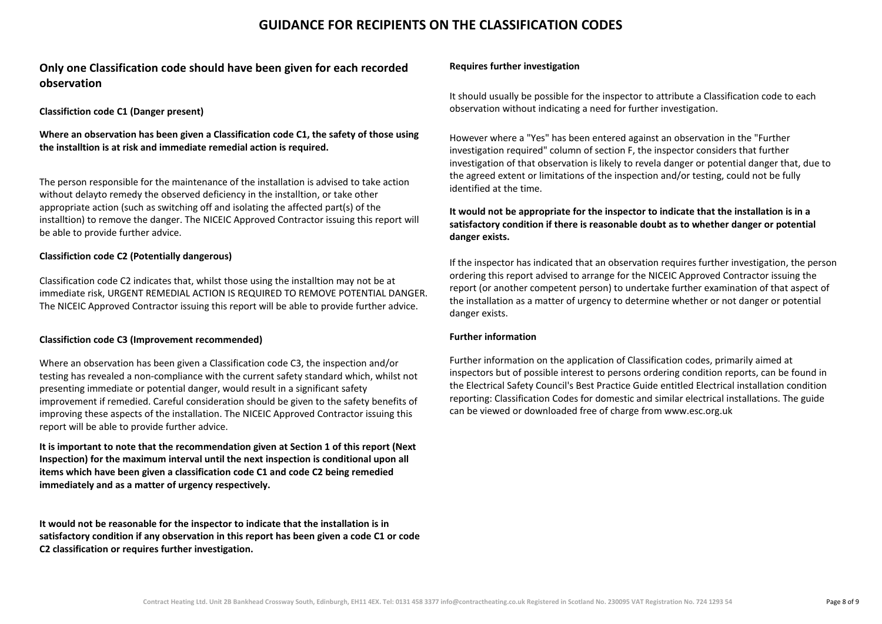# **GUIDANCE FOR RECIPIENTS ON THE CLASSIFICATION CODES**

## **Only one Classification code should have been given for each recorded observation**

**Classifiction code C1 (Danger present)**

**Where an observation has been given a Classification code C1, the safety of those using the installtion is at risk and immediate remedial action is required.**

The person responsible for the maintenance of the installation is advised to take action without delayto remedy the observed deficiency in the installtion, or take other appropriate action (such as switching off and isolating the affected part(s) of the installtion) to remove the danger. The NICEIC Approved Contractor issuing this report will be able to provide further advice.

### **Classifiction code C2 (Potentially dangerous)**

Classification code C2 indicates that, whilst those using the installtion may not be at immediate risk, URGENT REMEDIAL ACTION IS REQUIRED TO REMOVE POTENTIAL DANGER. The NICEIC Approved Contractor issuing this report will be able to provide further advice.

### **Classifiction code C3 (Improvement recommended)**

Where an observation has been given a Classification code C3, the inspection and/or testing has revealed a non-compliance with the current safety standard which, whilst not presenting immediate or potential danger, would result in a significant safety improvement if remedied. Careful consideration should be given to the safety benefits of improving these aspects of the installation. The NICEIC Approved Contractor issuing this report will be able to provide further advice.

**It is important to note that the recommendation given at Section 1 of this report (Next Inspection) for the maximum interval until the next inspection is conditional upon all items which have been given a classification code C1 and code C2 being remedied immediately and as a matter of urgency respectively.**

**It would not be reasonable for the inspector to indicate that the installation is in satisfactory condition if any observation in this report has been given a code C1 or code C2 classification or requires further investigation.**

#### **Requires further investigation**

It should usually be possible for the inspector to attribute a Classification code to each observation without indicating a need for further investigation.

However where a "Yes" has been entered against an observation in the "Further investigation required" column of section F, the inspector considers that further investigation of that observation is likely to revela danger or potential danger that, due to the agreed extent or limitations of the inspection and/or testing, could not be fully identified at the time.

### **It would not be appropriate for the inspector to indicate that the installation is in a satisfactory condition if there is reasonable doubt as to whether danger or potential danger exists.**

If the inspector has indicated that an observation requires further investigation, the person ordering this report advised to arrange for the NICEIC Approved Contractor issuing the report (or another competent person) to undertake further examination of that aspect of the installation as a matter of urgency to determine whether or not danger or potential danger exists.

#### **Further information**

Further information on the application of Classification codes, primarily aimed at inspectors but of possible interest to persons ordering condition reports, can be found in the Electrical Safety Council's Best Practice Guide entitled Electrical installation condition reporting: Classification Codes for domestic and similar electrical installations. The guide can be viewed or downloaded free of charge from www.esc.org.uk